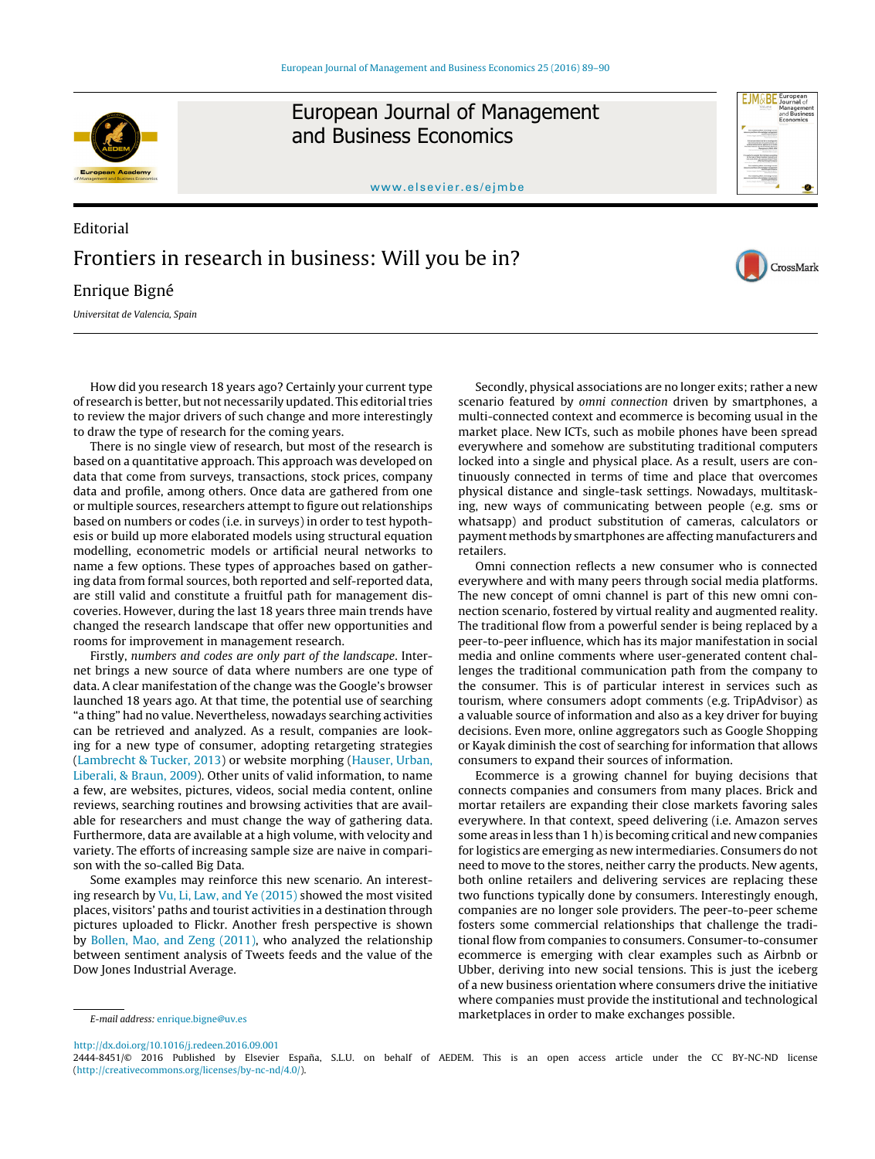

European Journal of Management and Business Economics



<www.elsevier.es/ejmbe>

## Editorial Frontiers in research in business: Will you be in? Enrique Bigné

CrossMark

Universitat de Valencia, Spain

How did you research 18 years ago? Certainly your current type of research is better, but not necessarily updated. This editorial tries to review the major drivers of such change and more interestingly to draw the type of research for the coming years.

There is no single view of research, but most of the research is based on a quantitative approach. This approach was developed on data that come from surveys, transactions, stock prices, company data and profile, among others. Once data are gathered from one or multiple sources, researchers attempt to figure out relationships based on numbers or codes (i.e. in surveys) in order to test hypothesis or build up more elaborated models using structural equation modelling, econometric models or artificial neural networks to name a few options. These types of approaches based on gathering data from formal sources, both reported and self-reported data, are still valid and constitute a fruitful path for management discoveries. However, during the last 18 years three main trends have changed the research landscape that offer new opportunities and rooms for improvement in management research.

Firstly, numbers and codes are only part of the landscape. Internet brings a new source of data where numbers are one type of data. A clear manifestation of the change was the Google's browser launched 18 years ago. At that time, the potential use of searching "a thing" had no value. Nevertheless, nowadays searching activities can be retrieved and analyzed. As a result, companies are looking for a new type of consumer, adopting retargeting strategies ([Lambrecht & Tucker, 2013\)](#page-1-0) or website morphing ([Hauser, Urban,](#page-1-0) [Liberali, & Braun, 2009\).](#page-1-0) Other units of valid information, to name a few, are websites, pictures, videos, social media content, online reviews, searching routines and browsing activities that are available for researchers and must change the way of gathering data. Furthermore, data are available at a high volume, with velocity and variety. The efforts of increasing sample size are naive in comparison with the so-called Big Data.

Some examples may reinforce this new scenario. An interesting research by [Vu, Li, Law, and Ye \(2015\)](#page-1-0) showed the most visited places, visitors' paths and tourist activities in a destination through pictures uploaded to Flickr. Another fresh perspective is shown by [Bollen, Mao, and Zeng \(2011\),](#page-1-0) who analyzed the relationship between sentiment analysis of Tweets feeds and the value of the Dow Jones Industrial Average.

Secondly, physical associations are no longer exits; rather a new scenario featured by omni connection driven by smartphones, a multi-connected context and ecommerce is becoming usual in the market place. New ICTs, such as mobile phones have been spread everywhere and somehow are substituting traditional computers locked into a single and physical place. As a result, users are continuously connected in terms of time and place that overcomes physical distance and single-task settings. Nowadays, multitasking, new ways of communicating between people (e.g. sms or whatsapp) and product substitution of cameras, calculators or payment methods by smartphones are affecting manufacturers and retailers.

Omni connection reflects a new consumer who is connected everywhere and with many peers through social media platforms. The new concept of omni channel is part of this new omni connection scenario, fostered by virtual reality and augmented reality. The traditional flow from a powerful sender is being replaced by a peer-to-peer influence, which has its major manifestation in social media and online comments where user-generated content challenges the traditional communication path from the company to the consumer. This is of particular interest in services such as tourism, where consumers adopt comments (e.g. TripAdvisor) as a valuable source of information and also as a key driver for buying decisions. Even more, online aggregators such as Google Shopping or Kayak diminish the cost of searching for information that allows consumers to expand their sources of information.

Ecommerce is a growing channel for buying decisions that connects companies and consumers from many places. Brick and mortar retailers are expanding their close markets favoring sales everywhere. In that context, speed delivering (i.e. Amazon serves some areas in less than 1 h) is becoming critical and new companies for logistics are emerging as new intermediaries. Consumers do not need to move to the stores, neither carry the products. New agents, both online retailers and delivering services are replacing these two functions typically done by consumers. Interestingly enough, companies are no longer sole providers. The peer-to-peer scheme fosters some commercial relationships that challenge the traditional flow from companies to consumers. Consumer-to-consumer ecommerce is emerging with clear examples such as Airbnb or Ubber, deriving into new social tensions. This is just the iceberg of a new business orientation where consumers drive the initiative where companies must provide the institutional and technological marketplaces in order to make exchanges possible.

E-mail address: [enrique.bigne@uv.es](mailto:enrique.bigne@uv.es)

[http://dx.doi.org/10.1016/j.redeen.2016.09.001](dx.doi.org/10.1016/j.redeen.2016.09.001)

<sup>2444-8451/© 2016</sup> Published by Elsevier España, S.L.U. on behalf of AEDEM. This is an open access article under the CC BY-NC-ND license [\(http://creativecommons.org/licenses/by-nc-nd/4.0/\)](http://creativecommons.org/licenses/by-nc-nd/4.0/).